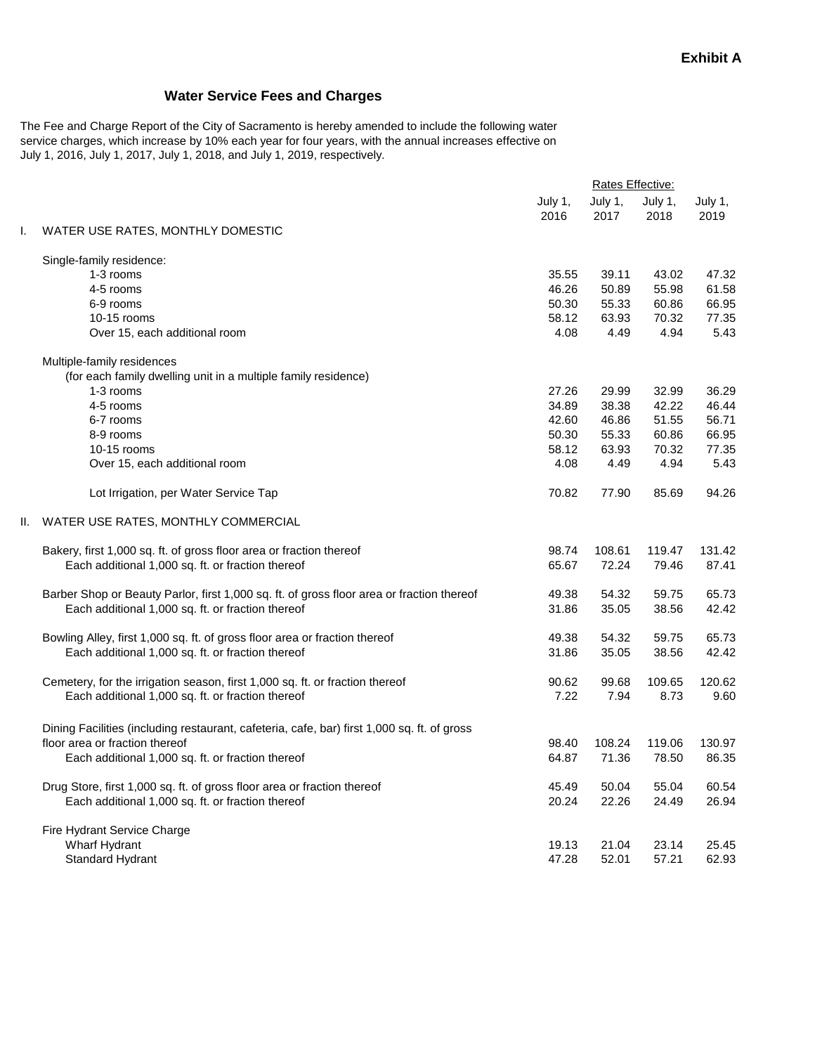## **Water Service Fees and Charges**

The Fee and Charge Report of the City of Sacramento is hereby amended to include the following water service charges, which increase by 10% each year for four years, with the annual increases effective on July 1, 2016, July 1, 2017, July 1, 2018, and July 1, 2019, respectively.

|                                                                              | Rates Effective:                                                                                                                                                                                                                                                    |                 |                 |                 |
|------------------------------------------------------------------------------|---------------------------------------------------------------------------------------------------------------------------------------------------------------------------------------------------------------------------------------------------------------------|-----------------|-----------------|-----------------|
|                                                                              | July 1,<br>2016                                                                                                                                                                                                                                                     | July 1,<br>2017 | July 1,<br>2018 | July 1,<br>2019 |
| WATER USE RATES, MONTHLY DOMESTIC                                            |                                                                                                                                                                                                                                                                     |                 |                 |                 |
| Single-family residence:                                                     |                                                                                                                                                                                                                                                                     |                 |                 |                 |
| 1-3 rooms                                                                    | 35.55                                                                                                                                                                                                                                                               | 39.11           | 43.02           | 47.32           |
| 4-5 rooms                                                                    |                                                                                                                                                                                                                                                                     | 50.89           | 55.98           | 61.58           |
| 6-9 rooms                                                                    | 50.30                                                                                                                                                                                                                                                               | 55.33           | 60.86           | 66.95           |
| 10-15 rooms                                                                  | 58.12                                                                                                                                                                                                                                                               | 63.93           | 70.32           | 77.35           |
| Over 15, each additional room                                                |                                                                                                                                                                                                                                                                     | 4.49            |                 | 5.43            |
| Multiple-family residences                                                   |                                                                                                                                                                                                                                                                     |                 |                 |                 |
| (for each family dwelling unit in a multiple family residence)               |                                                                                                                                                                                                                                                                     |                 |                 |                 |
| 1-3 rooms                                                                    | 27.26                                                                                                                                                                                                                                                               | 29.99           | 32.99           | 36.29           |
| 4-5 rooms                                                                    | 34.89                                                                                                                                                                                                                                                               | 38.38           | 42.22           | 46.44           |
| 6-7 rooms                                                                    | 42.60                                                                                                                                                                                                                                                               | 46.86           | 51.55           | 56.71           |
| 8-9 rooms                                                                    | 50.30                                                                                                                                                                                                                                                               | 55.33           | 60.86           | 66.95           |
| 10-15 rooms                                                                  | 58.12                                                                                                                                                                                                                                                               | 63.93           | 70.32           | 77.35           |
| Over 15, each additional room                                                | 4.08                                                                                                                                                                                                                                                                | 4.49            | 4.94            | 5.43            |
| Lot Irrigation, per Water Service Tap                                        | 70.82                                                                                                                                                                                                                                                               | 77.90           | 85.69           | 94.26           |
| WATER USE RATES, MONTHLY COMMERCIAL                                          |                                                                                                                                                                                                                                                                     |                 |                 |                 |
| Bakery, first 1,000 sq. ft. of gross floor area or fraction thereof          | 98.74                                                                                                                                                                                                                                                               | 108.61          | 119.47          | 131.42          |
| Each additional 1,000 sq. ft. or fraction thereof                            | 65.67                                                                                                                                                                                                                                                               | 72.24           | 79.46           | 87.41           |
|                                                                              | 49.38                                                                                                                                                                                                                                                               | 54.32           | 59.75           | 65.73           |
| Each additional 1,000 sq. ft. or fraction thereof                            | 31.86                                                                                                                                                                                                                                                               | 35.05           | 38.56           | 42.42           |
| Bowling Alley, first 1,000 sq. ft. of gross floor area or fraction thereof   | 49.38                                                                                                                                                                                                                                                               | 54.32           | 59.75           | 65.73           |
| Each additional 1,000 sq. ft. or fraction thereof                            | 31.86                                                                                                                                                                                                                                                               | 35.05           | 38.56           | 42.42           |
| Cemetery, for the irrigation season, first 1,000 sq. ft. or fraction thereof | 90.62                                                                                                                                                                                                                                                               | 99.68           | 109.65          | 120.62          |
| Each additional 1,000 sq. ft. or fraction thereof                            | 7.22                                                                                                                                                                                                                                                                | 7.94            | 8.73            | 9.60            |
|                                                                              |                                                                                                                                                                                                                                                                     |                 |                 |                 |
| floor area or fraction thereof                                               | 98.40                                                                                                                                                                                                                                                               | 108.24          | 119.06          | 130.97          |
| Each additional 1,000 sq. ft. or fraction thereof                            | 64.87                                                                                                                                                                                                                                                               | 71.36           | 78.50           | 86.35           |
|                                                                              | 45.49                                                                                                                                                                                                                                                               | 50.04           | 55.04           | 60.54           |
| Each additional 1,000 sq. ft. or fraction thereof                            | 20.24                                                                                                                                                                                                                                                               | 22.26           | 24.49           | 26.94           |
| Fire Hydrant Service Charge                                                  |                                                                                                                                                                                                                                                                     |                 |                 |                 |
| Wharf Hydrant                                                                | 19.13                                                                                                                                                                                                                                                               | 21.04           | 23.14           | 25.45           |
| <b>Standard Hydrant</b>                                                      | 47.28                                                                                                                                                                                                                                                               | 52.01           | 57.21           | 62.93           |
|                                                                              | Barber Shop or Beauty Parlor, first 1,000 sq. ft. of gross floor area or fraction thereof<br>Dining Facilities (including restaurant, cafeteria, cafe, bar) first 1,000 sq. ft. of gross<br>Drug Store, first 1,000 sq. ft. of gross floor area or fraction thereof | 46.26<br>4.08   |                 | 4.94            |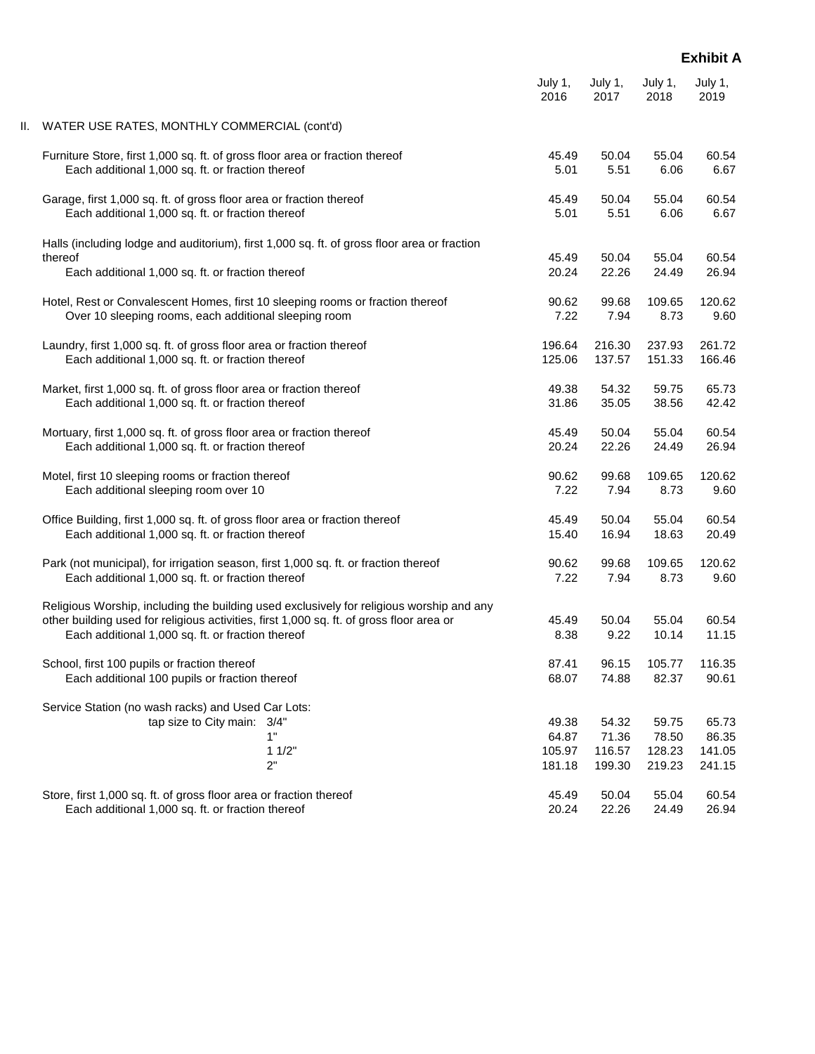## **Exhibit A**

|                                                                                                                                                                                                                                           | July 1,                            | July 1,                            | July 1,                            | July 1,                            |
|-------------------------------------------------------------------------------------------------------------------------------------------------------------------------------------------------------------------------------------------|------------------------------------|------------------------------------|------------------------------------|------------------------------------|
|                                                                                                                                                                                                                                           | 2016                               | 2017                               | 2018                               | 2019                               |
| WATER USE RATES, MONTHLY COMMERCIAL (cont'd)<br>н.                                                                                                                                                                                        |                                    |                                    |                                    |                                    |
| Furniture Store, first 1,000 sq. ft. of gross floor area or fraction thereof                                                                                                                                                              | 45.49                              | 50.04                              | 55.04                              | 60.54                              |
| Each additional 1,000 sq. ft. or fraction thereof                                                                                                                                                                                         | 5.01                               | 5.51                               | 6.06                               | 6.67                               |
| Garage, first 1,000 sq. ft. of gross floor area or fraction thereof                                                                                                                                                                       | 45.49                              | 50.04                              | 55.04                              | 60.54                              |
| Each additional 1,000 sq. ft. or fraction thereof                                                                                                                                                                                         | 5.01                               | 5.51                               | 6.06                               | 6.67                               |
| Halls (including lodge and auditorium), first 1,000 sq. ft. of gross floor area or fraction<br>thereof                                                                                                                                    | 45.49                              |                                    | 55.04                              |                                    |
| Each additional 1,000 sq. ft. or fraction thereof                                                                                                                                                                                         | 20.24                              | 50.04<br>22.26                     | 24.49                              | 60.54<br>26.94                     |
| Hotel, Rest or Convalescent Homes, first 10 sleeping rooms or fraction thereof                                                                                                                                                            | 90.62                              | 99.68                              | 109.65                             | 120.62                             |
| Over 10 sleeping rooms, each additional sleeping room                                                                                                                                                                                     | 7.22                               | 7.94                               | 8.73                               | 9.60                               |
| Laundry, first 1,000 sq. ft. of gross floor area or fraction thereof                                                                                                                                                                      | 196.64                             | 216.30                             | 237.93                             | 261.72                             |
| Each additional 1,000 sq. ft. or fraction thereof                                                                                                                                                                                         | 125.06                             | 137.57                             | 151.33                             | 166.46                             |
| Market, first 1,000 sq. ft. of gross floor area or fraction thereof                                                                                                                                                                       | 49.38                              | 54.32                              | 59.75                              | 65.73                              |
| Each additional 1,000 sq. ft. or fraction thereof                                                                                                                                                                                         | 31.86                              | 35.05                              | 38.56                              | 42.42                              |
| Mortuary, first 1,000 sq. ft. of gross floor area or fraction thereof                                                                                                                                                                     | 45.49                              | 50.04                              | 55.04                              | 60.54                              |
| Each additional 1,000 sq. ft. or fraction thereof                                                                                                                                                                                         | 20.24                              | 22.26                              | 24.49                              | 26.94                              |
| Motel, first 10 sleeping rooms or fraction thereof                                                                                                                                                                                        | 90.62                              | 99.68                              | 109.65                             | 120.62                             |
| Each additional sleeping room over 10                                                                                                                                                                                                     | 7.22                               | 7.94                               | 8.73                               | 9.60                               |
| Office Building, first 1,000 sq. ft. of gross floor area or fraction thereof                                                                                                                                                              | 45.49                              | 50.04                              | 55.04                              | 60.54                              |
| Each additional 1,000 sq. ft. or fraction thereof                                                                                                                                                                                         | 15.40                              | 16.94                              | 18.63                              | 20.49                              |
| Park (not municipal), for irrigation season, first 1,000 sq. ft. or fraction thereof                                                                                                                                                      | 90.62                              | 99.68                              | 109.65                             | 120.62                             |
| Each additional 1,000 sq. ft. or fraction thereof                                                                                                                                                                                         | 7.22                               | 7.94                               | 8.73                               | 9.60                               |
| Religious Worship, including the building used exclusively for religious worship and any<br>other building used for religious activities, first 1,000 sq. ft. of gross floor area or<br>Each additional 1,000 sq. ft. or fraction thereof |                                    | 50.04<br>9.22                      | 55.04<br>10.14                     | 60.54<br>11.15                     |
| School, first 100 pupils or fraction thereof                                                                                                                                                                                              | 87.41                              | 96.15                              | 105.77                             | 116.35                             |
| Each additional 100 pupils or fraction thereof                                                                                                                                                                                            | 68.07                              | 74.88                              | 82.37                              | 90.61                              |
| Service Station (no wash racks) and Used Car Lots:<br>tap size to City main: 3/4"<br>1"<br>11/2"<br>2"                                                                                                                                    | 49.38<br>64.87<br>105.97<br>181.18 | 54.32<br>71.36<br>116.57<br>199.30 | 59.75<br>78.50<br>128.23<br>219.23 | 65.73<br>86.35<br>141.05<br>241.15 |
| Store, first 1,000 sq. ft. of gross floor area or fraction thereof                                                                                                                                                                        | 45.49                              | 50.04                              | 55.04                              | 60.54                              |
| Each additional 1,000 sq. ft. or fraction thereof                                                                                                                                                                                         | 20.24                              | 22.26                              | 24.49                              | 26.94                              |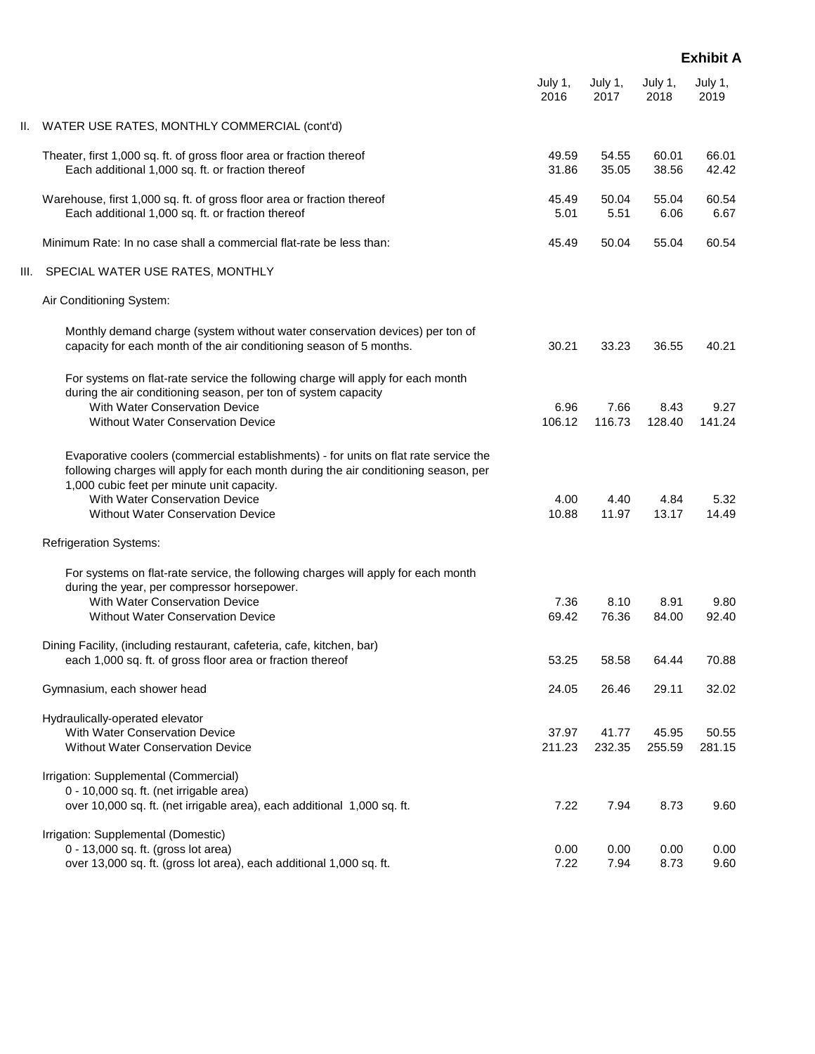|      |                                                                                                                                                                                                                           | July 1,<br>2016 | July 1,<br>2017 | July 1,<br>2018 | July 1,<br>2019 |
|------|---------------------------------------------------------------------------------------------------------------------------------------------------------------------------------------------------------------------------|-----------------|-----------------|-----------------|-----------------|
| II.  | WATER USE RATES, MONTHLY COMMERCIAL (cont'd)                                                                                                                                                                              |                 |                 |                 |                 |
|      | Theater, first 1,000 sq. ft. of gross floor area or fraction thereof<br>Each additional 1,000 sq. ft. or fraction thereof                                                                                                 | 49.59<br>31.86  | 54.55<br>35.05  | 60.01<br>38.56  | 66.01<br>42.42  |
|      | Warehouse, first 1,000 sq. ft. of gross floor area or fraction thereof<br>Each additional 1,000 sq. ft. or fraction thereof                                                                                               | 45.49<br>5.01   | 50.04<br>5.51   | 55.04<br>6.06   | 60.54<br>6.67   |
|      | Minimum Rate: In no case shall a commercial flat-rate be less than:                                                                                                                                                       | 45.49           | 50.04           | 55.04           | 60.54           |
| III. | SPECIAL WATER USE RATES, MONTHLY                                                                                                                                                                                          |                 |                 |                 |                 |
|      | Air Conditioning System:                                                                                                                                                                                                  |                 |                 |                 |                 |
|      | Monthly demand charge (system without water conservation devices) per ton of<br>capacity for each month of the air conditioning season of 5 months.                                                                       | 30.21           | 33.23           | 36.55           | 40.21           |
|      | For systems on flat-rate service the following charge will apply for each month<br>during the air conditioning season, per ton of system capacity                                                                         |                 |                 |                 |                 |
|      | With Water Conservation Device<br>Without Water Conservation Device                                                                                                                                                       | 6.96<br>106.12  | 7.66<br>116.73  | 8.43<br>128.40  | 9.27<br>141.24  |
|      | Evaporative coolers (commercial establishments) - for units on flat rate service the<br>following charges will apply for each month during the air conditioning season, per<br>1,000 cubic feet per minute unit capacity. |                 |                 |                 |                 |
|      | With Water Conservation Device<br><b>Without Water Conservation Device</b>                                                                                                                                                | 4.00<br>10.88   | 4.40<br>11.97   | 4.84<br>13.17   | 5.32<br>14.49   |
|      | <b>Refrigeration Systems:</b>                                                                                                                                                                                             |                 |                 |                 |                 |
|      | For systems on flat-rate service, the following charges will apply for each month                                                                                                                                         |                 |                 |                 |                 |
|      | during the year, per compressor horsepower.                                                                                                                                                                               |                 |                 |                 |                 |
|      | <b>With Water Conservation Device</b>                                                                                                                                                                                     | 7.36            | 8.10            | 8.91            | 9.80            |
|      | <b>Without Water Conservation Device</b>                                                                                                                                                                                  | 69.42           | 76.36           | 84.00           | 92.40           |
|      | Dining Facility, (including restaurant, cafeteria, cafe, kitchen, bar)                                                                                                                                                    |                 |                 |                 |                 |
|      | each 1,000 sq. ft. of gross floor area or fraction thereof                                                                                                                                                                | 53.25           | 58.58           | 64.44           | 70.88           |
|      | Gymnasium, each shower head                                                                                                                                                                                               | 24.05           | 26.46           | 29.11           | 32.02           |
|      | Hydraulically-operated elevator                                                                                                                                                                                           |                 |                 |                 |                 |
|      | With Water Conservation Device                                                                                                                                                                                            | 37.97           | 41.77           | 45.95           | 50.55           |
|      | Without Water Conservation Device                                                                                                                                                                                         | 211.23          | 232.35          | 255.59          | 281.15          |
|      | Irrigation: Supplemental (Commercial)                                                                                                                                                                                     |                 |                 |                 |                 |
|      | 0 - 10,000 sq. ft. (net irrigable area)<br>over 10,000 sq. ft. (net irrigable area), each additional 1,000 sq. ft.                                                                                                        | 7.22            | 7.94            | 8.73            | 9.60            |
|      | Irrigation: Supplemental (Domestic)                                                                                                                                                                                       |                 |                 |                 |                 |
|      | 0 - 13,000 sq. ft. (gross lot area)<br>over 13,000 sq. ft. (gross lot area), each additional 1,000 sq. ft.                                                                                                                | 0.00<br>7.22    | 0.00<br>7.94    | 0.00<br>8.73    | 0.00<br>9.60    |
|      |                                                                                                                                                                                                                           |                 |                 |                 |                 |

## **Exhibit A**